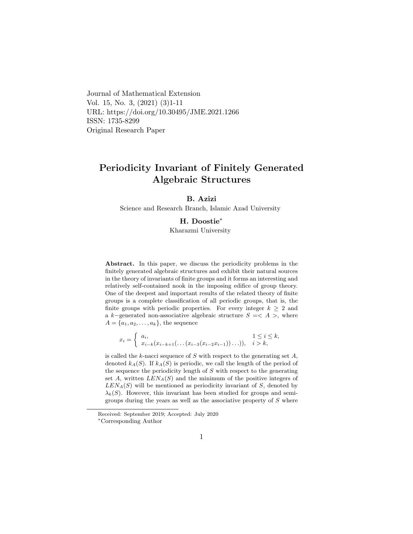Journal of Mathematical Extension Vol. 15, No. 3, (2021) (3)1-11 URL: https://doi.org/10.30495/JME.2021.1266 ISSN: 1735-8299 Original Research Paper

# Periodicity Invariant of Finitely Generated Algebraic Structures

#### B. Azizi

Science and Research Branch, Islamic Azad University

#### H. Doostie[∗](#page-0-0)

Kharazmi University

Abstract. In this paper, we discuss the periodicity problems in the finitely generated algebraic structures and exhibit their natural sources in the theory of invariants of finite groups and it forms an interesting and relatively self-contained nook in the imposing edifice of group theory. One of the deepest and important results of the related theory of finite groups is a complete classification of all periodic groups, that is, the finite groups with periodic properties. For every integer  $k \geq 2$  and a k–generated non-associative algebraic structure  $S = \langle A \rangle$ , where  $A = \{a_1, a_2, \ldots, a_k\}$ , the sequence

$$
x_i = \begin{cases} a_i, & 1 \le i \le k, \\ x_{i-k}(x_{i-k+1}(\ldots(x_{i-3}(x_{i-2}x_{i-1}))\ldots)), & i > k, \end{cases}
$$

is called the  $k$ -nacci sequence of  $S$  with respect to the generating set  $A$ , denoted  $k_A(S)$ . If  $k_A(S)$  is periodic, we call the length of the period of the sequence the periodicity length of  $S$  with respect to the generating set A, written  $LEN<sub>A</sub>(S)$  and the minimum of the positive integers of  $LEN<sub>A</sub>(S)$  will be mentioned as periodicity invariant of S, denoted by  $\lambda_k(S)$ . However, this invariant has been studied for groups and semigroups during the years as well as the associative property of  $S$  where

Received: September 2019; Accepted: July 2020

<span id="page-0-0"></span><sup>∗</sup>Corresponding Author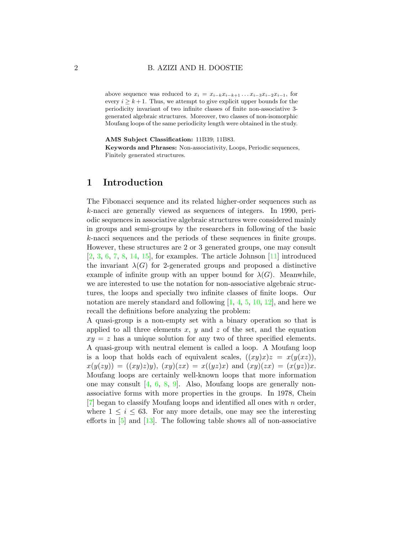#### 2 B. AZIZI AND H. DOOSTIE

above sequence was reduced to  $x_i = x_{i-k}x_{i-k+1} \ldots x_{i-3}x_{i-2}x_{i-1}$ , for every  $i > k+1$ . Thus, we attempt to give explicit upper bounds for the periodicity invariant of two infinite classes of finite non-associative 3 generated algebraic structures. Moreover, two classes of non-isomorphic Moufang loops of the same periodicity length were obtained in the study.

AMS Subject Classification: 11B39; 11B83.

Keywords and Phrases: Non-associativity, Loops, Periodic sequences, Finitely generated structures.

# 1 Introduction

The Fibonacci sequence and its related higher-order sequences such as k-nacci are generally viewed as sequences of integers. In 1990, periodic sequences in associative algebraic structures were considered mainly in groups and semi-groups by the researchers in following of the basic k-nacci sequences and the periods of these sequences in finite groups. However, these structures are 2 or 3 generated groups, one may consult  $[2, 3, 6, 7, 8, 14, 15]$  $[2, 3, 6, 7, 8, 14, 15]$  $[2, 3, 6, 7, 8, 14, 15]$  $[2, 3, 6, 7, 8, 14, 15]$  $[2, 3, 6, 7, 8, 14, 15]$  $[2, 3, 6, 7, 8, 14, 15]$  $[2, 3, 6, 7, 8, 14, 15]$  $[2, 3, 6, 7, 8, 14, 15]$  $[2, 3, 6, 7, 8, 14, 15]$  $[2, 3, 6, 7, 8, 14, 15]$  $[2, 3, 6, 7, 8, 14, 15]$  $[2, 3, 6, 7, 8, 14, 15]$  $[2, 3, 6, 7, 8, 14, 15]$ , for examples. The article Johnson  $[11]$  introduced the invariant  $\lambda(G)$  for 2-generated groups and proposed a distinctive example of infinite group with an upper bound for  $\lambda(G)$ . Meanwhile, we are interested to use the notation for non-associative algebraic structures, the loops and specially two infinite classes of finite loops. Our notation are merely standard and following  $[1, 4, 5, 10, 12]$  $[1, 4, 5, 10, 12]$  $[1, 4, 5, 10, 12]$  $[1, 4, 5, 10, 12]$  $[1, 4, 5, 10, 12]$  $[1, 4, 5, 10, 12]$  $[1, 4, 5, 10, 12]$  $[1, 4, 5, 10, 12]$  $[1, 4, 5, 10, 12]$ , and here we recall the definitions before analyzing the problem:

A quasi-group is a non-empty set with a binary operation so that is applied to all three elements  $x, y$  and  $z$  of the set, and the equation  $xy = z$  has a unique solution for any two of three specified elements. A quasi-group with neutral element is called a loop. A Moufang loop is a loop that holds each of equivalent scales,  $((xy)x)z = x(y(xz))$ ,  $x(y(zy)) = ((xy)z)y$ ,  $(xy)(zx) = x((yz)x)$  and  $(xy)(zx) = (x(yz))x$ . Moufang loops are certainly well-known loops that more information one may consult [\[4,](#page-9-6) [6,](#page-9-2) [8,](#page-9-4) [9\]](#page-9-10). Also, Moufang loops are generally nonassociative forms with more properties in the groups. In 1978, Chein  $|7|$  began to classify Moufang loops and identified all ones with n order, where  $1 \leq i \leq 63$ . For any more details, one may see the interesting efforts in  $[5]$  and  $[13]$ . The following table shows all of non-associative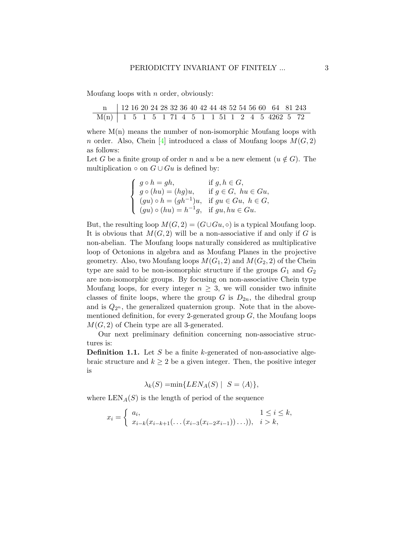Moufang loops with  $n$  order, obviously:

| $\text{n}$   12 16 20 24 28 32 36 40 42 44 48 52 54 56 60 64 81 243 |  |  |  |  |  |  |  |  |  |
|---------------------------------------------------------------------|--|--|--|--|--|--|--|--|--|
| $M(n)$ 1 5 1 5 1 71 4 5 1 1 51 1 2 4 5 4262 5 72                    |  |  |  |  |  |  |  |  |  |

where  $M(n)$  means the number of non-isomorphic Moufang loops with n order. Also, Chein [\[4\]](#page-9-6) introduced a class of Moufang loops  $M(G, 2)$ as follows:

Let G be a finite group of order n and u be a new element  $(u \notin G)$ . The multiplication  $\circ$  on  $G \cup Gu$  is defined by:

$$
\begin{cases}\ng \circ h = gh, & \text{if } g, h \in G, \\
g \circ (hu) = (hg)u, & \text{if } g \in G, hu \in Gu, \\
(gu) \circ h = (gh^{-1})u, & \text{if } gu \in Gu, h \in G, \\
(gu) \circ (hu) = h^{-1}g, & \text{if } gu, hu \in Gu.\n\end{cases}
$$

But, the resulting loop  $M(G, 2) = (G \cup Gu, \circ)$  is a typical Moufang loop. It is obvious that  $M(G, 2)$  will be a non-associative if and only if G is non-abelian. The Moufang loops naturally considered as multiplicative loop of Octonions in algebra and as Moufang Planes in the projective geometry. Also, two Moufang loops  $M(G_1, 2)$  and  $M(G_2, 2)$  of the Chein type are said to be non-isomorphic structure if the groups  $G_1$  and  $G_2$ are non-isomorphic groups. By focusing on non-associative Chein type Moufang loops, for every integer  $n \geq 3$ , we will consider two infinite classes of finite loops, where the group G is  $D_{2n}$ , the dihedral group and is  $Q_{2^n}$ , the generalized quaternion group. Note that in the abovementioned definition, for every 2-generated group  $G$ , the Moufang loops  $M(G, 2)$  of Chein type are all 3-generated.

Our next preliminary definition concerning non-associative structures is:

**Definition 1.1.** Let  $S$  be a finite  $k$ -generated of non-associative algebraic structure and  $k \geq 2$  be a given integer. Then, the positive integer is

$$
\lambda_k(S) = \min\{LEN_A(S) \mid S = \langle A \rangle\},\
$$

where  $\text{LEN}_A(S)$  is the length of period of the sequence

$$
x_i = \begin{cases} a_i, & 1 \le i \le k, \\ x_{i-k}(x_{i-k+1}(\ldots (x_{i-3}(x_{i-2}x_{i-1}))\ldots)), & i > k, \end{cases}
$$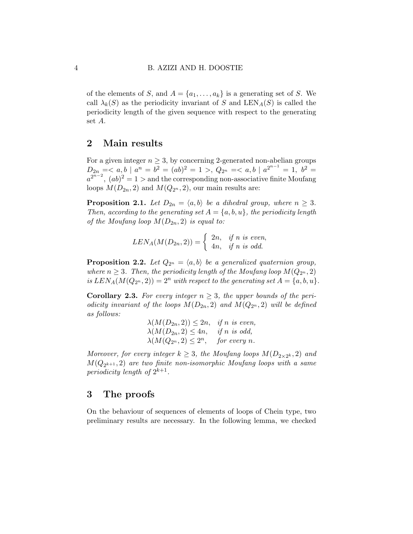of the elements of S, and  $A = \{a_1, \ldots, a_k\}$  is a generating set of S. We call  $\lambda_k(S)$  as the periodicity invariant of S and LEN<sub>A</sub>(S) is called the periodicity length of the given sequence with respect to the generating set A.

# 2 Main results

For a given integer  $n \geq 3$ , by concerning 2-generated non-abelian groups  $D_{2n} = \langle a, b \mid a^n = b^2 = (ab)^2 = 1 \rangle, Q_{2n} = \langle a, b \mid a^{2^{n-1}} = 1, b^2 = 1 \rangle$  $a^{2^{n-2}}$ ,  $(ab)^2 = 1 >$  and the corresponding non-associative finite Moufang loops  $M(D_{2n}, 2)$  and  $M(Q_{2n}, 2)$ , our main results are:

**Proposition 2.1.** Let  $D_{2n} = \langle a, b \rangle$  be a dihedral group, where  $n \geq 3$ . Then, according to the generating set  $A = \{a, b, u\}$ , the periodicity length of the Moufang loop  $M(D_{2n}, 2)$  is equal to:

$$
LEN_A(M(D_{2n}, 2)) = \begin{cases} 2n, & if n is even, \\ 4n, & if n is odd. \end{cases}
$$

**Proposition 2.2.** Let  $Q_{2^n} = \langle a, b \rangle$  be a generalized quaternion group, where  $n \geq 3$ . Then, the periodicity length of the Moufang loop  $M(Q_{2^n}, 2)$ is  $LEN_A(M(Q_{2^n}, 2)) = 2^n$  with respect to the generating set  $A = \{a, b, u\}.$ 

**Corollary 2.3.** For every integer  $n \geq 3$ , the upper bounds of the periodicity invariant of the loops  $M(D_{2n}, 2)$  and  $M(Q_{2n}, 2)$  will be defined as follows:

$$
\lambda(M(D_{2n}, 2)) \le 2n, \quad \text{if } n \text{ is even,}
$$
  

$$
\lambda(M(D_{2n}, 2) \le 4n, \quad \text{if } n \text{ is odd,}
$$
  

$$
\lambda(M(Q_{2n}, 2) \le 2^n, \quad \text{for every } n.
$$

Moreover, for every integer  $k \geq 3$ , the Moufang loops  $M(D_{2\times 2^k}, 2)$  and  $M(Q_{2^{k+1}}, 2)$  are two finite non-isomorphic Moufang loops with a same periodicity length of  $2^{k+1}$ .

### 3 The proofs

On the behaviour of sequences of elements of loops of Chein type, two preliminary results are necessary. In the following lemma, we checked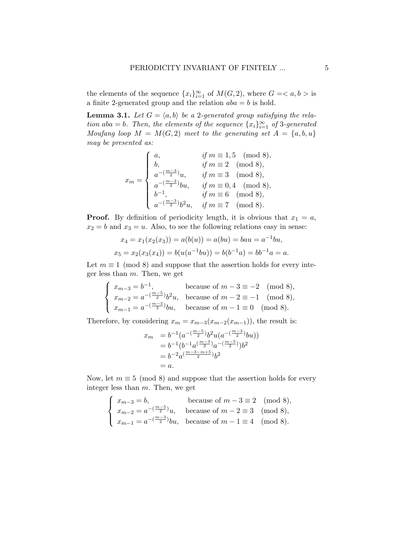the elements of the sequence  $\{x_i\}_{i=1}^{\infty}$  of  $M(G, 2)$ , where  $G = \langle a, b \rangle$  is a finite 2-generated group and the relation  $aba = b$  is hold.

<span id="page-4-0"></span>**Lemma 3.1.** Let  $G = \langle a, b \rangle$  be a 2-generated group satisfying the relation aba = b. Then, the elements of the sequence  ${x_i}_{i=1}^{\infty}$  of 3-generated Moufang loop  $M = M(G, 2)$  meet to the generating set  $A = \{a, b, u\}$ may be presented as:

$$
x_m = \begin{cases} a, & \text{if } m \equiv 1, 5 \pmod{8}, \\ b, & \text{if } m \equiv 2 \pmod{8}, \\ a^{-(\frac{m-3}{2})}u, & \text{if } m \equiv 3 \pmod{8}, \\ a^{-(\frac{m-2}{2})}bu, & \text{if } m \equiv 0, 4 \pmod{8}, \\ b^{-1}, & \text{if } m \equiv 6 \pmod{8}, \\ a^{-(\frac{m-3}{2})}b^2u, & \text{if } m \equiv 7 \pmod{8}. \end{cases}
$$

**Proof.** By definition of periodicity length, it is obvious that  $x_1 = a$ ,  $x_2 = b$  and  $x_3 = u$ . Also, to see the following relations easy in sense:

$$
x_4 = x_1(x_2(x_3)) = a(b(u)) = a(bu) = bau = a^{-1}bu,
$$
  

$$
x_5 = x_2(x_3(x_4)) = b(u(a^{-1}bu)) = b(b^{-1}a) = bb^{-1}a = a.
$$

Let  $m \equiv 1 \pmod{8}$  and suppose that the assertion holds for every integer less than  $m$ . Then, we get

$$
\begin{cases}\n x_{m-3} = b^{-1}, & \text{because of } m-3 \equiv -2 \pmod{8}, \\
 x_{m-2} = a^{-\left(\frac{m-5}{2}\right)} b^2 u, & \text{because of } m-2 \equiv -1 \pmod{8}, \\
 x_{m-1} = a^{-\left(\frac{m-3}{2}\right)} b u, & \text{because of } m-1 \equiv 0 \pmod{8}.\n\end{cases}
$$

Therefore, by considering  $x_m = x_{m-3}(x_{m-2}(x_{m-1}))$ , the result is:

$$
x_m = b^{-1} (a^{-\left(\frac{m-5}{2}\right)} b^2 u (a^{-\left(\frac{m-3}{2}\right)} bu))
$$
  
=  $b^{-1} (b^{-1} a^{\left(\frac{m-3}{2}\right)} a^{-\left(\frac{m-5}{2}\right)}) b^2$   
=  $b^{-2} a^{\left(\frac{m-3-m+5}{2}\right)} b^2$   
= a.

Now, let  $m \equiv 5 \pmod{8}$  and suppose that the assertion holds for every integer less than m. Then, we get

$$
\begin{cases}\n x_{m-3} = b, & \text{because of } m-3 \equiv 2 \pmod{8}, \\
 x_{m-2} = a^{-\left(\frac{m-5}{2}\right)}u, & \text{because of } m-2 \equiv 3 \pmod{8}, \\
 x_{m-1} = a^{-\left(\frac{m-3}{2}\right)}bu, & \text{because of } m-1 \equiv 4 \pmod{8}.\n\end{cases}
$$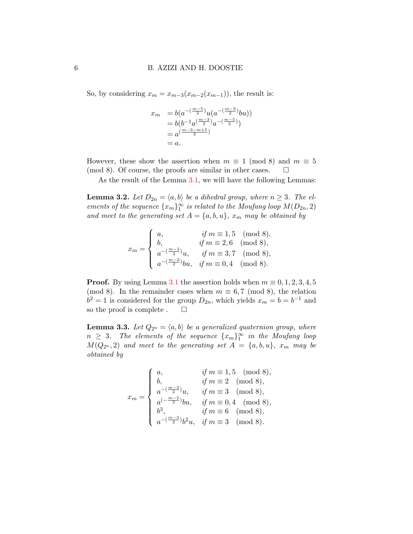So, by considering  $x_m = x_{m-3}(x_{m-2}(x_{m-1}))$ , the result is:

$$
x_m = b(a^{-\left(\frac{m-5}{2}\right)}u(a^{-\left(\frac{m-3}{2}\right)}bu))
$$
  
=  $b(b^{-1}a^{\left(\frac{m-3}{2}\right)}a^{-\left(\frac{m-5}{2}\right)})$   
=  $a^{\left(\frac{m-3-m+5}{2}\right)}$   
=  $a$ .

However, these show the assertion when  $m \equiv 1 \pmod{8}$  and  $m \equiv 5$ (mod 8). Of course, the proofs are similar in other cases.  $\Box$ 

As the result of the Lemma [3.1,](#page-4-0) we will have the following Lemmas:

<span id="page-5-0"></span>**Lemma 3.2.** Let  $D_{2n} = \langle a, b \rangle$  be a dihedral group, where  $n \geq 3$ . The elements of the sequence  $\{x_m\}_1^{\infty}$  is related to the Moufang loop  $M(D_{2n}, 2)$ and meet to the generating set  $A = \{a, b, u\}$ ,  $x_m$  may be obtained by

$$
x_m = \begin{cases} a, & \text{if } m \equiv 1,5 \pmod{8}, \\ b, & \text{if } m \equiv 2,6 \pmod{8}, \\ a^{-(\frac{m-3}{2})}u, & \text{if } m \equiv 3,7 \pmod{8}, \\ a^{-(\frac{m-2}{2})}bu, & \text{if } m \equiv 0,4 \pmod{8}. \end{cases}
$$

**Proof.** By using Lemma [3.1](#page-4-0) the assertion holds when  $m \equiv 0, 1, 2, 3, 4, 5$ (mod 8). In the remainder cases when  $m \equiv 6, 7 \pmod{8}$ , the relation  $b^2 = 1$  is considered for the group  $D_{2n}$ , which yields  $x_m = b = b^{-1}$  and so the proof is complete .  $\square$ 

<span id="page-5-1"></span>**Lemma 3.3.** Let  $Q_{2^n} = \langle a, b \rangle$  be a generalized quaternion group, where  $n \geq 3$ . The elements of the sequence  $\{x_m\}_{1}^{\infty}$  in the Moufang loop  $M(Q_{2^n}, 2)$  and meet to the generating set  $A = \{a, b, u\}$ ,  $x_m$  may be obtained by

$$
x_m = \begin{cases} a, & \text{if } m \equiv 1, 5 \pmod{8}, \\ b, & \text{if } m \equiv 2 \pmod{8}, \\ a^{-(\frac{m-3}{2})}u, & \text{if } m \equiv 3 \pmod{8}, \\ a^{(-\frac{m-2}{2})}bu, & \text{if } m \equiv 0, 4 \pmod{8}, \\ b^3, & \text{if } m \equiv 6 \pmod{8}, \\ a^{-(\frac{m-3}{2})}b^2u, & \text{if } m \equiv 3 \pmod{8}. \end{cases}
$$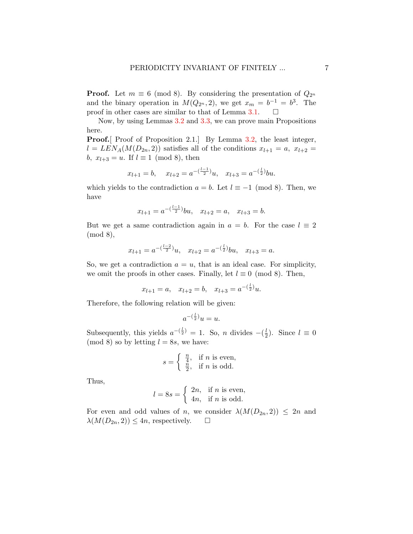**Proof.** Let  $m \equiv 6 \pmod{8}$ . By considering the presentation of  $Q_{2^n}$ and the binary operation in  $M(Q_{2^n}, 2)$ , we get  $x_m = b^{-1} = b^3$ . The proof in other cases are similar to that of Lemma [3.1.](#page-4-0)  $\Box$ 

Now, by using Lemmas [3.2](#page-5-0) and [3.3,](#page-5-1) we can prove main Propositions here.

**Proof.** Proof of Proposition 2.1. By Lemma [3.2,](#page-5-0) the least integer,  $l = LEN_A(M(D_{2n}, 2))$  satisfies all of the conditions  $x_{l+1} = a, x_{l+2} = a$ b,  $x_{l+3} = u$ . If  $l \equiv 1 \pmod{8}$ , then

$$
x_{l+1} = b
$$
,  $x_{l+2} = a^{-\left(\frac{l-1}{2}\right)}u$ ,  $x_{l+3} = a^{-\left(\frac{l}{2}\right)}bu$ .

which yields to the contradiction  $a = b$ . Let  $l \equiv -1 \pmod{8}$ . Then, we have

$$
x_{l+1} = a^{-\left(\frac{l-1}{2}\right)}bu, \quad x_{l+2} = a, \quad x_{l+3} = b.
$$

But we get a same contradiction again in  $a = b$ . For the case  $l \equiv 2$ (mod 8),

$$
x_{l+1} = a^{-(\frac{l-2}{2})}u
$$
,  $x_{l+2} = a^{-(\frac{l}{2})}bu$ ,  $x_{l+3} = a$ .

So, we get a contradiction  $a = u$ , that is an ideal case. For simplicity, we omit the proofs in other cases. Finally, let  $l \equiv 0 \pmod{8}$ . Then,

$$
x_{l+1} = a
$$
,  $x_{l+2} = b$ ,  $x_{l+3} = a^{-(\frac{l}{2})}u$ .

Therefore, the following relation will be given:

$$
a^{-(\frac{l}{2})}u = u.
$$

Subsequently, this yields  $a^{-\left(\frac{l}{2}\right)} = 1$ . So, *n* divides  $-\left(\frac{l}{2}\right)$  $(\frac{l}{2})$ . Since  $l \equiv 0$ (mod 8) so by letting  $l = 8s$ , we have:

$$
s = \begin{cases} \frac{n}{4}, & \text{if } n \text{ is even,} \\ \frac{n}{2}, & \text{if } n \text{ is odd.} \end{cases}
$$

Thus,

$$
l = 8s = \begin{cases} 2n, & \text{if } n \text{ is even,} \\ 4n, & \text{if } n \text{ is odd.} \end{cases}
$$

For even and odd values of n, we consider  $\lambda(M(D_{2n}, 2)) \leq 2n$  and  $\lambda(M(D_{2n}, 2)) \leq 4n$ , respectively.  $\square$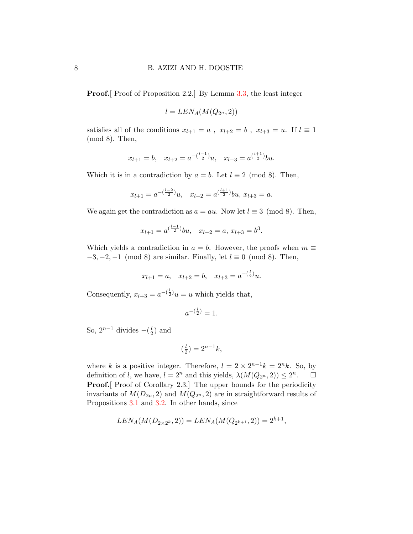**Proof.** Proof of Proposition 2.2. By Lemma [3.3,](#page-5-1) the least integer

$$
l = LEN_A(M(Q_{2^n}, 2))
$$

satisfies all of the conditions  $x_{l+1} = a$ ,  $x_{l+2} = b$ ,  $x_{l+3} = u$ . If  $l \equiv 1$ (mod 8). Then,

$$
x_{l+1} = b
$$
,  $x_{l+2} = a^{-\left(\frac{l-1}{2}\right)}u$ ,  $x_{l+3} = a^{\left(\frac{l+1}{2}\right)}bu$ .

Which it is in a contradiction by  $a = b$ . Let  $l \equiv 2 \pmod{8}$ . Then,

$$
x_{l+1} = a^{-\left(\frac{l-2}{2}\right)}u
$$
,  $x_{l+2} = a^{\left(\frac{l+1}{2}\right)}bu$ ,  $x_{l+3} = a$ .

We again get the contradiction as  $a = au$ . Now let  $l \equiv 3 \pmod{8}$ . Then,

$$
x_{l+1} = a^{\left(\frac{l-1}{2}\right)}bu, \quad x_{l+2} = a, \, x_{l+3} = b^3.
$$

Which yields a contradiction in  $a = b$ . However, the proofs when  $m \equiv$  $-3, -2, -1 \pmod{8}$  are similar. Finally, let  $l \equiv 0 \pmod{8}$ . Then,

$$
x_{l+1} = a
$$
,  $x_{l+2} = b$ ,  $x_{l+3} = a^{-(\frac{l}{2})}u$ .

Consequently,  $x_{l+3} = a^{-(\frac{l}{2})}u = u$  which yields that,

$$
a^{-(\frac{l}{2})}=1.
$$

So,  $2^{n-1}$  divides  $-\left(\frac{l}{2}\right)$  $(\frac{l}{2})$  and

$$
\left(\frac{l}{2}\right) = 2^{n-1}k,
$$

where k is a positive integer. Therefore,  $l = 2 \times 2^{n-1}k = 2^n k$ . So, by definition of l, we have,  $l = 2^n$  and this yields,  $\lambda(M(Q_{2^n}, 2)) \leq 2^n$  $\Box$ **Proof.** Proof of Corollary 2.3. The upper bounds for the periodicity invariants of  $M(D_{2n}, 2)$  and  $M(Q_{2n}, 2)$  are in straightforward results of Propositions [3.1](#page-4-0) and [3.2.](#page-5-0) In other hands, since

$$
LEN_A(M(D_{2\times 2^k}, 2)) = LEN_A(M(Q_{2^{k+1}}, 2)) = 2^{k+1},
$$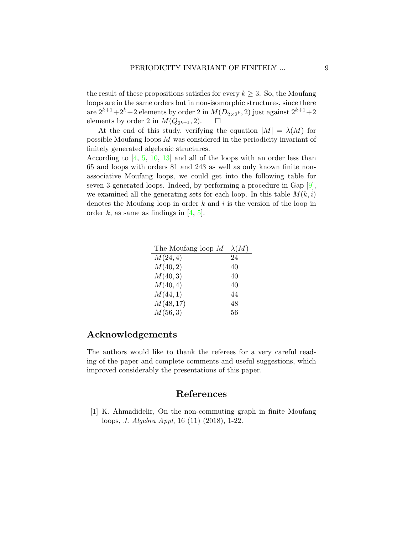the result of these propositions satisfies for every  $k \geq 3$ . So, the Moufang loops are in the same orders but in non-isomorphic structures, since there are  $2^{k+1}+2^k+2$  elements by order 2 in  $M(D_{2\times 2^k}, 2)$  just against  $2^{k+1}+2$ elements by order 2 in  $M(Q_{2^{k+1}}, 2)$ .  $\square$ 

At the end of this study, verifying the equation  $|M| = \lambda(M)$  for possible Moufang loops M was considered in the periodicity invariant of finitely generated algebraic structures.

According to [\[4,](#page-9-6) [5,](#page-9-7) [10,](#page-9-8) [13\]](#page-9-11) and all of the loops with an order less than 65 and loops with orders 81 and 243 as well as only known finite nonassociative Moufang loops, we could get into the following table for seven 3-generated loops. Indeed, by performing a procedure in Gap [\[9\]](#page-9-10), we examined all the generating sets for each loop. In this table  $M(k, i)$ denotes the Moufang loop in order  $k$  and  $i$  is the version of the loop in order k, as same as findings in  $[4, 5]$  $[4, 5]$  $[4, 5]$ .

| The Moufang loop $M$ | $\lambda(M)$ |
|----------------------|--------------|
| M(24, 4)             | 24           |
| M(40, 2)             | 40           |
| M(40,3)              | 40           |
| M(40, 4)             | 40           |
| M(44,1)              | 44           |
| M(48, 17)            | 48           |
| M(56, 3)             | 56           |

### Acknowledgements

The authors would like to thank the referees for a very careful reading of the paper and complete comments and useful suggestions, which improved considerably the presentations of this paper.

### References

<span id="page-8-0"></span>[1] K. Ahmadidelir, On the non-commuting graph in finite Moufang loops, J. Algebra Appl, 16 (11) (2018), 1-22.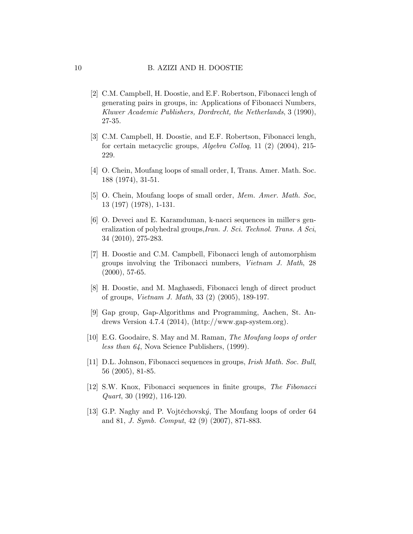- <span id="page-9-0"></span>[2] C.M. Campbell, H. Doostie, and E.F. Robertson, Fibonacci lengh of generating pairs in groups, in: Applications of Fibonacci Numbers, Kluwer Academic Publishers, Dordrecht, the Netherlands, 3 (1990), 27-35.
- <span id="page-9-1"></span>[3] C.M. Campbell, H. Doostie, and E.F. Robertson, Fibonacci lengh, for certain metacyclic groups, Algebra Colloq, 11 (2) (2004), 215- 229.
- <span id="page-9-6"></span>[4] O. Chein, Moufang loops of small order, I, Trans. Amer. Math. Soc. 188 (1974), 31-51.
- <span id="page-9-7"></span>[5] O. Chein, Moufang loops of small order, Mem. Amer. Math. Soc, 13 (197) (1978), 1-131.
- <span id="page-9-2"></span>[6] O. Deveci and E. Karamduman, k-nacci sequences in miller's generalization of polyhedral groups,Iran. J. Sci. Technol. Trans. A Sci, 34 (2010), 275-283.
- <span id="page-9-3"></span>[7] H. Doostie and C.M. Campbell, Fibonacci lengh of automorphism groups involving the Tribonacci numbers, Vietnam J. Math, 28 (2000), 57-65.
- <span id="page-9-4"></span>[8] H. Doostie, and M. Maghasedi, Fibonacci lengh of direct product of groups, Vietnam J. Math, 33 (2) (2005), 189-197.
- <span id="page-9-10"></span>[9] Gap group, Gap-Algorithms and Programming, Aachen, St. Andrews Version 4.7.4 (2014), (http://www.gap-system.org).
- <span id="page-9-8"></span>[10] E.G. Goodaire, S. May and M. Raman, The Moufang loops of order less than 64, Nova Science Publishers, (1999).
- <span id="page-9-5"></span>[11] D.L. Johnson, Fibonacci sequences in groups, Irish Math. Soc. Bull, 56 (2005), 81-85.
- <span id="page-9-9"></span>[12] S.W. Knox, Fibonacci sequences in finite groups, The Fibonacci Quart, 30 (1992), 116-120.
- <span id="page-9-11"></span>[13] G.P. Naghy and P. Vojtěchovský, The Moufang loops of order 64 and 81, J. Symb. Comput, 42 (9) (2007), 871-883.